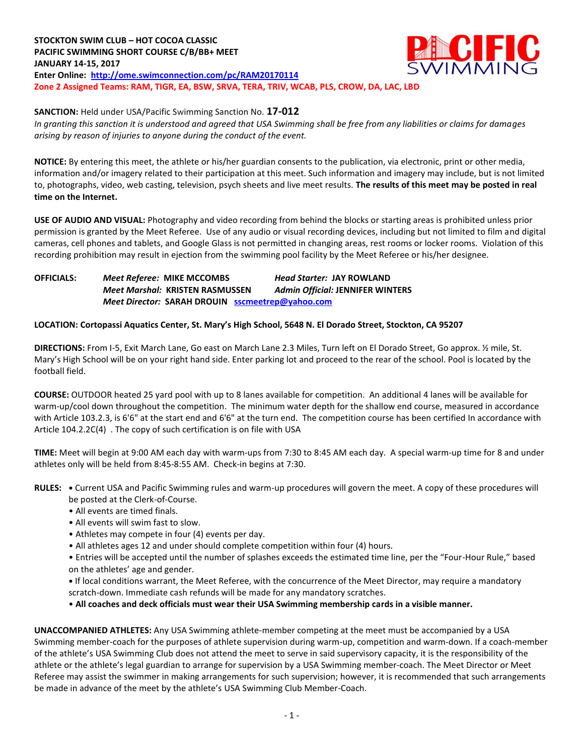### **STOCKTON SWIM CLUB – HOT COCOA CLASSIC PACIFIC SWIMMING SHORT COURSE C/B/BB+ MEET JANUARY 14-15, 2017 Enter Online: <http://ome.swimconnection.com/pc/RAM20170114> Zone 2 Assigned Teams: RAM, TIGR, EA, BSW, SRVA, TERA, TRIV, WCAB, PLS, CROW, DA, LAC, LBD**



**SANCTION:** Held under USA/Pacific Swimming Sanction No. **17-012**

*In granting this sanction it is understood and agreed that USA Swimming shall be free from any liabilities or claims for damages arising by reason of injuries to anyone during the conduct of the event.*

**NOTICE:** By entering this meet, the athlete or his/her guardian consents to the publication, via electronic, print or other media, information and/or imagery related to their participation at this meet. Such information and imagery may include, but is not limited to, photographs, video, web casting, television, psych sheets and live meet results. **The results of this meet may be posted in real time on the Internet.**

**USE OF AUDIO AND VISUAL:** Photography and video recording from behind the blocks or starting areas is prohibited unless prior permission is granted by the Meet Referee. Use of any audio or visual recording devices, including but not limited to film and digital cameras, cell phones and tablets, and Google Glass is not permitted in changing areas, rest rooms or locker rooms. Violation of this recording prohibition may result in ejection from the swimming pool facility by the Meet Referee or his/her designee.

**OFFICIALS:** *Meet Referee:* **MIKE MCCOMBS** *Head Starter:* **JAY ROWLAND** *Meet Marshal:* **KRISTEN RASMUSSEN** *Admin Official:* **JENNIFER WINTERS** *Meet Director:* **SARAH DROUIN [sscmeetrep@yahoo.com](mailto:sscmeetrep@yahoo.com)**

### **LOCATION: Cortopassi Aquatics Center, St. Mary's High School, 5648 N. El Dorado Street, Stockton, CA 95207**

**DIRECTIONS:** From I-5, Exit March Lane, Go east on March Lane 2.3 Miles, Turn left on El Dorado Street, Go approx. ½ mile, St. Mary's High School will be on your right hand side. Enter parking lot and proceed to the rear of the school. Pool is located by the football field.

**COURSE:** OUTDOOR heated 25 yard pool with up to 8 lanes available for competition. An additional 4 lanes will be available for warm-up/cool down throughout the competition. The minimum water depth for the shallow end course, measured in accordance with Article 103.2.3, is 6'6" at the start end and 6'6" at the turn end. The competition course has been certified In accordance with Article 104.2.2C(4) . The copy of such certification is on file with USA

**TIME:** Meet will begin at 9:00 AM each day with warm-ups from 7:30 to 8:45 AM each day. A special warm-up time for 8 and under athletes only will be held from 8:45-8:55 AM. Check-in begins at 7:30.

- **RULES: •** Current USA and Pacific Swimming rules and warm-up procedures will govern the meet. A copy of these procedures will be posted at the Clerk-of-Course.
	- All events are timed finals.
	- All events will swim fast to slow.
	- Athletes may compete in four (4) events per day.
	- All athletes ages 12 and under should complete competition within four (4) hours.
	- Entries will be accepted until the number of splashes exceeds the estimated time line, per the "Four-Hour Rule," based on the athletes' age and gender.
	- **•** If local conditions warrant, the Meet Referee, with the concurrence of the Meet Director, may require a mandatory scratch-down. Immediate cash refunds will be made for any mandatory scratches.

• **All coaches and deck officials must wear their USA Swimming membership cards in a visible manner.** 

**UNACCOMPANIED ATHLETES:** Any USA Swimming athlete-member competing at the meet must be accompanied by a USA Swimming member-coach for the purposes of athlete supervision during warm-up, competition and warm-down. If a coach-member of the athlete's USA Swimming Club does not attend the meet to serve in said supervisory capacity, it is the responsibility of the athlete or the athlete's legal guardian to arrange for supervision by a USA Swimming member-coach. The Meet Director or Meet Referee may assist the swimmer in making arrangements for such supervision; however, it is recommended that such arrangements be made in advance of the meet by the athlete's USA Swimming Club Member-Coach.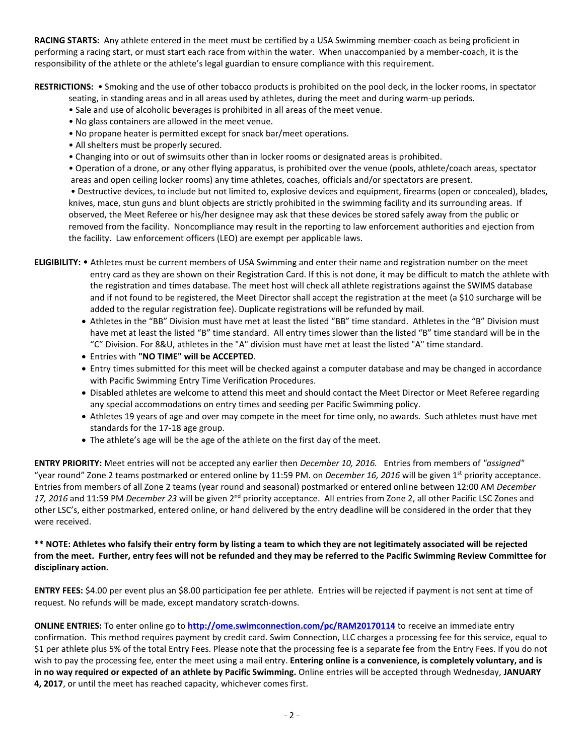**RACING STARTS:** Any athlete entered in the meet must be certified by a USA Swimming member-coach as being proficient in performing a racing start, or must start each race from within the water. When unaccompanied by a member-coach, it is the responsibility of the athlete or the athlete's legal guardian to ensure compliance with this requirement.

**RESTRICTIONS:** • Smoking and the use of other tobacco products is prohibited on the pool deck, in the locker rooms, in spectator

- seating, in standing areas and in all areas used by athletes, during the meet and during warm-up periods.
- Sale and use of alcoholic beverages is prohibited in all areas of the meet venue.
- No glass containers are allowed in the meet venue.
- No propane heater is permitted except for snack bar/meet operations.
- All shelters must be properly secured.
- Changing into or out of swimsuits other than in locker rooms or designated areas is prohibited.

• Operation of a drone, or any other flying apparatus, is prohibited over the venue (pools, athlete/coach areas, spectator areas and open ceiling locker rooms) any time athletes, coaches, officials and/or spectators are present.

• Destructive devices, to include but not limited to, explosive devices and equipment, firearms (open or concealed), blades, knives, mace, stun guns and blunt objects are strictly prohibited in the swimming facility and its surrounding areas. If observed, the Meet Referee or his/her designee may ask that these devices be stored safely away from the public or removed from the facility. Noncompliance may result in the reporting to law enforcement authorities and ejection from the facility. Law enforcement officers (LEO) are exempt per applicable laws.

- **ELIGIBILITY:** Athletes must be current members of USA Swimming and enter their name and registration number on the meet entry card as they are shown on their Registration Card. If this is not done, it may be difficult to match the athlete with the registration and times database. The meet host will check all athlete registrations against the SWIMS database and if not found to be registered, the Meet Director shall accept the registration at the meet (a \$10 surcharge will be added to the regular registration fee). Duplicate registrations will be refunded by mail.
	- Athletes in the "BB" Division must have met at least the listed "BB" time standard. Athletes in the "B" Division must have met at least the listed "B" time standard. All entry times slower than the listed "B" time standard will be in the "C" Division. For 8&U, athletes in the "A" division must have met at least the listed "A" time standard.
	- Entries with **"NO TIME" will be ACCEPTED**.
	- Entry times submitted for this meet will be checked against a computer database and may be changed in accordance with Pacific Swimming Entry Time Verification Procedures.
	- Disabled athletes are welcome to attend this meet and should contact the Meet Director or Meet Referee regarding any special accommodations on entry times and seeding per Pacific Swimming policy.
	- Athletes 19 years of age and over may compete in the meet for time only, no awards. Such athletes must have met standards for the 17-18 age group.
	- The athlete's age will be the age of the athlete on the first day of the meet.

**ENTRY PRIORITY:** Meet entries will not be accepted any earlier then *December 10, 2016.* Entries from members of *"assigned"*  "year round" Zone 2 teams postmarked or entered online by 11:59 PM. on *December 16, 2016* will be given 1st priority acceptance. Entries from members of all Zone 2 teams (year round and seasonal) postmarked or entered online between 12:00 AM *December*  17, 2016 and 11:59 PM *December 23* will be given 2<sup>nd</sup> priority acceptance. All entries from Zone 2, all other Pacific LSC Zones and other LSC's, either postmarked, entered online, or hand delivered by the entry deadline will be considered in the order that they were received.

#### **\*\* NOTE: Athletes who falsify their entry form by listing a team to which they are not legitimately associated will be rejected from the meet. Further, entry fees will not be refunded and they may be referred to the Pacific Swimming Review Committee for disciplinary action.**

**ENTRY FEES:** \$4.00 per event plus an \$8.00 participation fee per athlete. Entries will be rejected if payment is not sent at time of request. No refunds will be made, except mandatory scratch-downs.

**ONLINE ENTRIES:** To enter online go to **<http://ome.swimconnection.com/pc/RAM20170114>** to receive an immediate entry confirmation. This method requires payment by credit card. Swim Connection, LLC charges a processing fee for this service, equal to \$1 per athlete plus 5% of the total Entry Fees. Please note that the processing fee is a separate fee from the Entry Fees. If you do not wish to pay the processing fee, enter the meet using a mail entry. **Entering online is a convenience, is completely voluntary, and is in no way required or expected of an athlete by Pacific Swimming.** Online entries will be accepted through Wednesday, **JANUARY 4, 2017**, or until the meet has reached capacity, whichever comes first.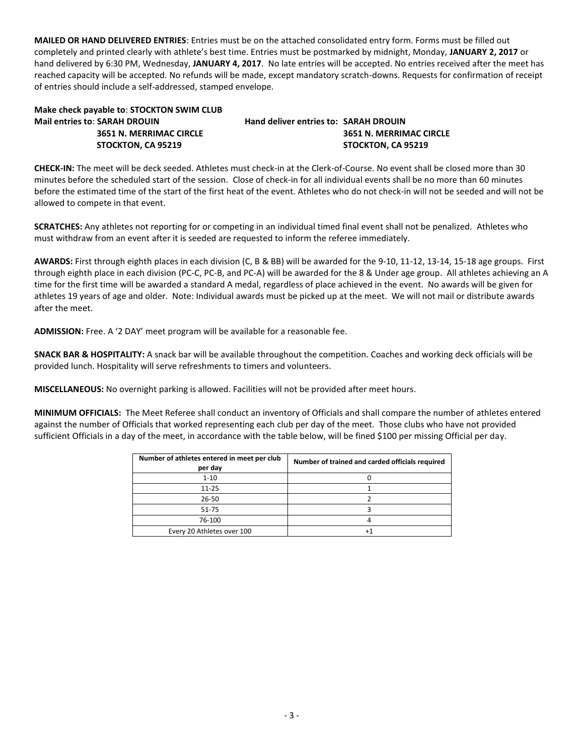**MAILED OR HAND DELIVERED ENTRIES**: Entries must be on the attached consolidated entry form. Forms must be filled out completely and printed clearly with athlete's best time. Entries must be postmarked by midnight, Monday, **JANUARY 2, 2017** or hand delivered by 6:30 PM, Wednesday, **JANUARY 4, 2017**. No late entries will be accepted. No entries received after the meet has reached capacity will be accepted. No refunds will be made, except mandatory scratch-downs. Requests for confirmation of receipt of entries should include a self-addressed, stamped envelope.

# **Make check payable to**: **STOCKTON SWIM CLUB Mail entries to**: **SARAH DROUIN Hand deliver entries to: SARAH DROUIN**

## **3651 N. MERRIMAC CIRCLE 3651 N. MERRIMAC CIRCLE STOCKTON, CA 95219 STOCKTON, CA 95219**

**CHECK-IN:** The meet will be deck seeded. Athletes must check-in at the Clerk-of-Course. No event shall be closed more than 30 minutes before the scheduled start of the session. Close of check-in for all individual events shall be no more than 60 minutes before the estimated time of the start of the first heat of the event. Athletes who do not check-in will not be seeded and will not be allowed to compete in that event.

**SCRATCHES:** Any athletes not reporting for or competing in an individual timed final event shall not be penalized. Athletes who must withdraw from an event after it is seeded are requested to inform the referee immediately.

**AWARDS:** First through eighth places in each division (C, B & BB) will be awarded for the 9-10, 11-12, 13-14, 15-18 age groups. First through eighth place in each division (PC-C, PC-B, and PC-A) will be awarded for the 8 & Under age group. All athletes achieving an A time for the first time will be awarded a standard A medal, regardless of place achieved in the event. No awards will be given for athletes 19 years of age and older. Note: Individual awards must be picked up at the meet. We will not mail or distribute awards after the meet.

**ADMISSION:** Free. A '2 DAY' meet program will be available for a reasonable fee.

**SNACK BAR & HOSPITALITY:** A snack bar will be available throughout the competition. Coaches and working deck officials will be provided lunch. Hospitality will serve refreshments to timers and volunteers.

**MISCELLANEOUS:** No overnight parking is allowed. Facilities will not be provided after meet hours.

**MINIMUM OFFICIALS:** The Meet Referee shall conduct an inventory of Officials and shall compare the number of athletes entered against the number of Officials that worked representing each club per day of the meet. Those clubs who have not provided sufficient Officials in a day of the meet, in accordance with the table below, will be fined \$100 per missing Official per day.

| Number of athletes entered in meet per club<br>per day | Number of trained and carded officials required |  |  |  |  |  |
|--------------------------------------------------------|-------------------------------------------------|--|--|--|--|--|
| $1 - 10$                                               |                                                 |  |  |  |  |  |
| $11 - 25$                                              |                                                 |  |  |  |  |  |
| 26-50                                                  |                                                 |  |  |  |  |  |
| 51-75                                                  |                                                 |  |  |  |  |  |
| 76-100                                                 |                                                 |  |  |  |  |  |
| Every 20 Athletes over 100                             |                                                 |  |  |  |  |  |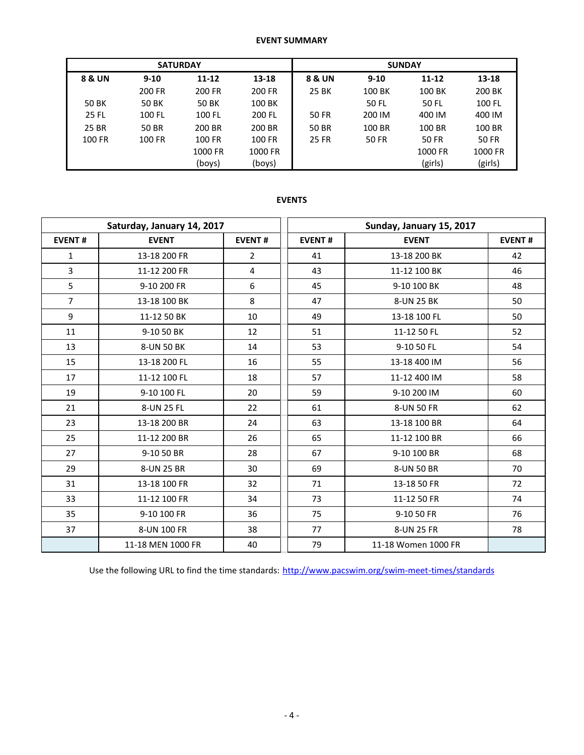### **EVENT SUMMARY**

|        | <b>SATURDAY</b> |           |               | <b>SUNDAY</b> |              |           |              |  |  |  |
|--------|-----------------|-----------|---------------|---------------|--------------|-----------|--------------|--|--|--|
| 8 & UN | $9 - 10$        | $11 - 12$ | 13-18         | 8 & UN        | $9 - 10$     | $11 - 12$ | 13-18        |  |  |  |
|        | 200 FR          | 200 FR    | 200 FR        | 25 BK         | 100 BK       | 100 BK    | 200 BK       |  |  |  |
| 50 BK  | 50 BK           | 50 BK     | 100 BK        |               | 50 FL        | 50 FL     | 100 FL       |  |  |  |
| 25 FL  | 100 FL          | 100 FL    | 200 FL        | 50 FR         | 200 IM       | 400 IM    | 400 IM       |  |  |  |
| 25 BR  | <b>50 BR</b>    | 200 BR    | 200 BR        | 50 BR         | 100 BR       | 100 BR    | 100 BR       |  |  |  |
| 100 FR | 100 FR          | 100 FR    | <b>100 FR</b> | <b>25 FR</b>  | <b>50 FR</b> | 50 FR     | <b>50 FR</b> |  |  |  |
|        |                 | 1000 FR   | 1000 FR       |               |              | 1000 FR   | 1000 FR      |  |  |  |
|        |                 | (boys)    | (boys)        |               |              | (girls)   | (girls)      |  |  |  |

### **EVENTS**

|                | Saturday, January 14, 2017 |               |               | Sunday, January 15, 2017 |    |  |  |
|----------------|----------------------------|---------------|---------------|--------------------------|----|--|--|
| <b>EVENT#</b>  | <b>EVENT</b>               | <b>EVENT#</b> | <b>EVENT#</b> | <b>EVENT</b>             |    |  |  |
| 1              | 13-18 200 FR               | 2             | 41            | 13-18 200 BK             | 42 |  |  |
| 3              | 11-12 200 FR               | 4             | 43            | 11-12 100 BK             | 46 |  |  |
| 5              | 9-10 200 FR                | 6             | 45            | 9-10 100 BK              | 48 |  |  |
| $\overline{7}$ | 13-18 100 BK               | 8             | 47            | 8-UN 25 BK               | 50 |  |  |
| 9              | 11-12 50 BK                | 10            | 49            | 13-18 100 FL             | 50 |  |  |
| 11             | 9-10 50 BK                 | 12            | 51            | 11-12 50 FL              | 52 |  |  |
| 13             | 8-UN 50 BK                 | 14            | 53            | 9-10 50 FL               | 54 |  |  |
| 15             | 13-18 200 FL               | 16            | 55            | 13-18 400 IM             | 56 |  |  |
| 17             | 11-12 100 FL               | 18            | 57            | 11-12 400 IM             | 58 |  |  |
| 19             | 9-10 100 FL                | 20            | 59            | 9-10 200 IM              | 60 |  |  |
| 21             | 8-UN 25 FL                 | 22            | 61            | 8-UN 50 FR               | 62 |  |  |
| 23             | 13-18 200 BR               | 24            | 63            | 13-18 100 BR             | 64 |  |  |
| 25             | 11-12 200 BR               | 26            | 65            | 11-12 100 BR             | 66 |  |  |
| 27             | 9-10 50 BR                 | 28            | 67            | 9-10 100 BR              | 68 |  |  |
| 29             | 8-UN 25 BR                 | 30            | 69            | 8-UN 50 BR               | 70 |  |  |
| 31             | 13-18 100 FR               | 32            | 71            | 13-18 50 FR              | 72 |  |  |
| 33             | 11-12 100 FR               | 34            | 73            | 11-12 50 FR              | 74 |  |  |
| 35             | 9-10 100 FR                | 36            | 75            | 9-10 50 FR               | 76 |  |  |
| 37             | 8-UN 100 FR                | 38            | 77            | 8-UN 25 FR               | 78 |  |  |
|                | 11-18 MEN 1000 FR          | 40            | 79            | 11-18 Women 1000 FR      |    |  |  |

Use the following URL to find the time standards: <http://www.pacswim.org/swim-meet-times/standards>